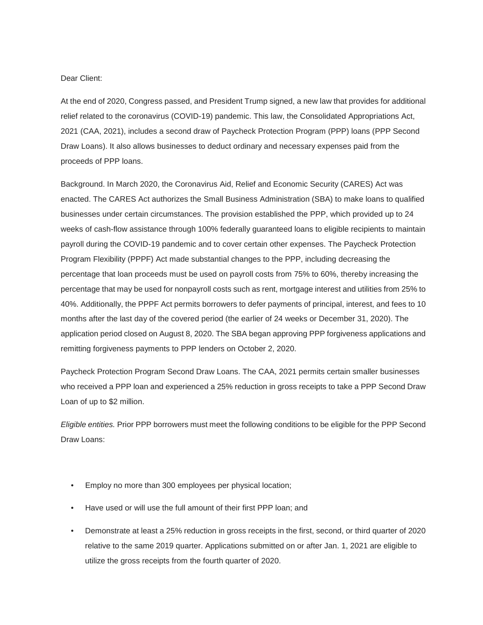## Dear Client:

At the end of 2020, Congress passed, and President Trump signed, a new law that provides for additional relief related to the coronavirus (COVID-19) pandemic. This law, the Consolidated Appropriations Act, 2021 (CAA, 2021), includes a second draw of Paycheck Protection Program (PPP) loans (PPP Second Draw Loans). It also allows businesses to deduct ordinary and necessary expenses paid from the proceeds of PPP loans.

Background. In March 2020, the Coronavirus Aid, Relief and Economic Security (CARES) Act was enacted. The CARES Act authorizes the Small Business Administration (SBA) to make loans to qualified businesses under certain circumstances. The provision established the PPP, which provided up to 24 weeks of cash-flow assistance through 100% federally guaranteed loans to eligible recipients to maintain payroll during the COVID-19 pandemic and to cover certain other expenses. The Paycheck Protection Program Flexibility (PPPF) Act made substantial changes to the PPP, including decreasing the percentage that loan proceeds must be used on payroll costs from 75% to 60%, thereby increasing the percentage that may be used for nonpayroll costs such as rent, mortgage interest and utilities from 25% to 40%. Additionally, the PPPF Act permits borrowers to defer payments of principal, interest, and fees to 10 months after the last day of the covered period (the earlier of 24 weeks or December 31, 2020). The application period closed on August 8, 2020. The SBA began approving PPP forgiveness applications and remitting forgiveness payments to PPP lenders on October 2, 2020.

Paycheck Protection Program Second Draw Loans. The CAA, 2021 permits certain smaller businesses who received a PPP loan and experienced a 25% reduction in gross receipts to take a PPP Second Draw Loan of up to \$2 million.

*Eligible entities.* Prior PPP borrowers must meet the following conditions to be eligible for the PPP Second Draw Loans:

- Employ no more than 300 employees per physical location;
- Have used or will use the full amount of their first PPP loan; and
- Demonstrate at least a 25% reduction in gross receipts in the first, second, or third quarter of 2020 relative to the same 2019 quarter. Applications submitted on or after Jan. 1, 2021 are eligible to utilize the gross receipts from the fourth quarter of 2020.